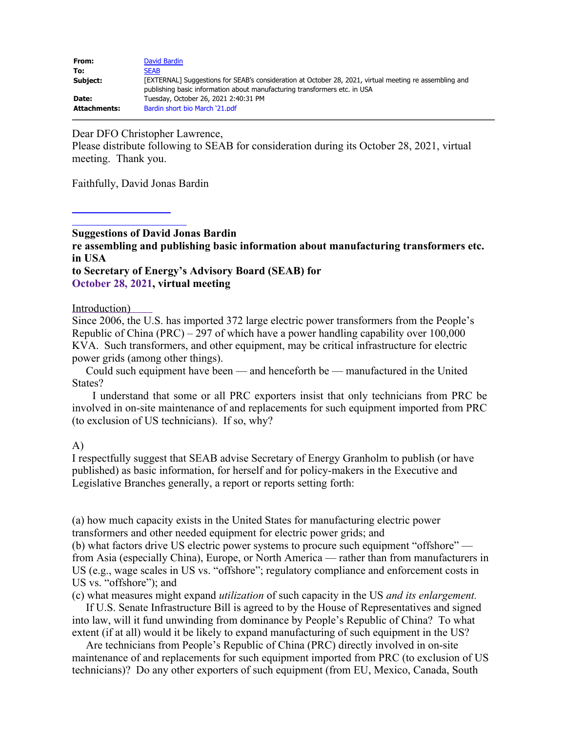| From:               | David Bardin                                                                                           |
|---------------------|--------------------------------------------------------------------------------------------------------|
| To:                 | <b>SEAB</b>                                                                                            |
| Subject:            | [EXTERNAL] Suggestions for SEAB's consideration at October 28, 2021, virtual meeting re assembling and |
|                     | publishing basic information about manufacturing transformers etc. in USA                              |
| Date:               | Tuesday, October 26, 2021 2:40:31 PM                                                                   |
| <b>Attachments:</b> | Bardin short bio March '21.pdf                                                                         |

Dear DFO Christopher Lawrence,

Please distribute following to SEAB for consideration during its October 28, 2021, virtual meeting. Thank you.

Faithfully, David Jonas Bardin

**Suggestions of David Jonas Bardin re assembling and publishing basic information about manufacturing transformers etc. in USA to Secretary of Energy's Advisory Board (SEAB) for**

### **October 28, 2021, virtual meeting**

#### Introduction)

Since 2006, the U.S. has imported 372 large electric power transformers from the People's Republic of China (PRC) – 297 of which have a power handling capability over 100,000 KVA. Such transformers, and other equipment, may be critical infrastructure for electric power grids (among other things).

 Could such equipment have been — and henceforth be — manufactured in the United States?

 I understand that some or all PRC exporters insist that only technicians from PRC be involved in on-site maintenance of and replacements for such equipment imported from PRC (to exclusion of US technicians). If so, why?

### A)

I respectfully suggest that SEAB advise Secretary of Energy Granholm to publish (or have published) as basic information, for herself and for policy-makers in the Executive and Legislative Branches generally, a report or reports setting forth:

(a) how much capacity exists in the United States for manufacturing electric power transformers and other needed equipment for electric power grids; and

(b) what factors drive US electric power systems to procure such equipment "offshore" from Asia (especially China), Europe, or North America — rather than from manufacturers in US (e.g., wage scales in US vs. "offshore"; regulatory compliance and enforcement costs in US vs. "offshore"); and

(c) what measures might expand *utilization* of such capacity in the US *and its enlargement.*

If U.S. Senate Infrastructure Bill is agreed to by the House of Representatives and signed into law, will it fund unwinding from dominance by People's Republic of China? To what extent (if at all) would it be likely to expand manufacturing of such equipment in the US?

Are technicians from People's Republic of China (PRC) directly involved in on-site maintenance of and replacements for such equipment imported from PRC (to exclusion of US technicians)? Do any other exporters of such equipment (from EU, Mexico, Canada, South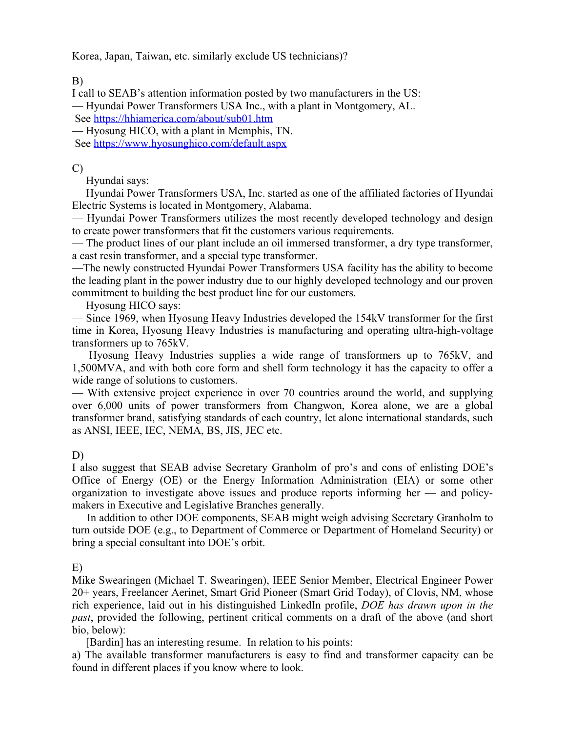Korea, Japan, Taiwan, etc. similarly exclude US technicians)?

B)

I call to SEAB's attention information posted by two manufacturers in the US: — Hyundai Power Transformers USA Inc., with a plant in Montgomery, AL.

See <https://hhiamerica.com/about/sub01.htm>

— Hyosung HICO, with a plant in Memphis, TN.

See <https://www.hyosunghico.com/default.aspx>

# C)

Hyundai says:

— Hyundai Power Transformers USA, Inc. started as one of the affiliated factories of Hyundai Electric Systems is located in Montgomery, Alabama.

— Hyundai Power Transformers utilizes the most recently developed technology and design to create power transformers that fit the customers various requirements.

— The product lines of our plant include an oil immersed transformer, a dry type transformer, a cast resin transformer, and a special type transformer.

—The newly constructed Hyundai Power Transformers USA facility has the ability to become the leading plant in the power industry due to our highly developed technology and our proven commitment to building the best product line for our customers.

Hyosung HICO says:

— Since 1969, when Hyosung Heavy Industries developed the 154kV transformer for the first time in Korea, Hyosung Heavy Industries is manufacturing and operating ultra-high-voltage transformers up to 765kV.

— Hyosung Heavy Industries supplies a wide range of transformers up to 765kV, and 1,500MVA, and with both core form and shell form technology it has the capacity to offer a wide range of solutions to customers.

— With extensive project experience in over 70 countries around the world, and supplying over 6,000 units of power transformers from Changwon, Korea alone, we are a global transformer brand, satisfying standards of each country, let alone international standards, such as ANSI, IEEE, IEC, NEMA, BS, JIS, JEC etc.

## D)

I also suggest that SEAB advise Secretary Granholm of pro's and cons of enlisting DOE's Office of Energy (OE) or the Energy Information Administration (EIA) or some other organization to investigate above issues and produce reports informing her — and policymakers in Executive and Legislative Branches generally.

In addition to other DOE components, SEAB might weigh advising Secretary Granholm to turn outside DOE (e.g., to Department of Commerce or Department of Homeland Security) or bring a special consultant into DOE's orbit.

E)

Mike Swearingen (Michael T. Swearingen), IEEE Senior Member, Electrical Engineer Power 20+ years, Freelancer Aerinet, Smart Grid Pioneer (Smart Grid Today), of Clovis, NM, whose rich experience, laid out in his distinguished LinkedIn profile, *DOE has drawn upon in the past*, provided the following, pertinent critical comments on a draft of the above (and short bio, below):

[Bardin] has an interesting resume. In relation to his points:

a) The available transformer manufacturers is easy to find and transformer capacity can be found in different places if you know where to look.